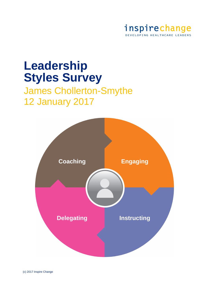

# **Leadership Styles Survey**

## James Chollerton-Smythe 12 January 2017

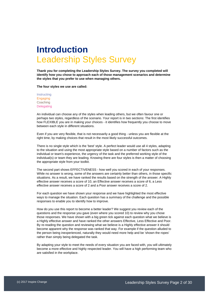## **Introduction** Leadership Styles Survey

**Thank you for completing the Leadership Styles Survey. The survey you completed will identify how you chose to approach each of those management scenarios and determine the styles that you prefer to use when managing others.**

**The four styles we use are called:**

**Instructing Engaging Coaching** Delegating

An individual can choose any of the styles when leading others, but we often favour one or perhaps two styles, regardless of the scenario. Your report is in two sections: The first identifies how FLEXIBLE you are in making your choices - it identifies how frequently you choose to move between each style in different situations.

Even if you are very flexible, that is not necessarily a good thing - unless you are flexible at the right time, by making choices that result in the most likely successful outcomes.

There is no single style which is the 'best' style. A perfect leader would use all 4 styles, adapting to the situation and using the most appropriate style based on a number of factors such as the individual or team's experience, the urgency of the task and the preferred working style of the individual(s) or team they are leading. Knowing there are four styles is then a matter of choosing the appropriate style from your toolkit.

The second part shows EFFECTIVENESS - how well you scored in each of your responses. While no answer is wrong, some of the answers are certainly better than others, in those specific situations. As a result, we have ranked the results based on the strength of the answer. A Highly effective answer receives a score of 10, an Effective answer receives a score of 6, a Less effective answer receives a score of 2 and a Poor answer receives a score of 2.

For each question we have shown your response and we have highlighted the most effective ways to manage the situation. Each question has a summary of the challenge and the possible responses to enable you to identify how to improve.

How do you use this report to become a better leader? We suggest you review each of the questions and the response you gave (even where you scored 10) to review why you chose those responses. We have shown with a big green tick against each question what we believe is a Highly effective answer and have ranked the other answers Effective, Less Effective and Poor. By re-reading the question and reviewing what we believe is a Highly effective answer it should become apparent why the response was ranked that way. For example if the question alluded to the person being inexperienced, naturally they would need more help and be 'shown the ropes' rather than simply being delegated the task.

By adapting your style to meet the needs of every situation you are faced with, you will ultimately become a more effective and highly respected leader. You will have a high performing team who are satisfied in the workplace.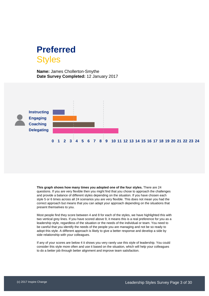## **Preferred Styles**

**Name:** James Chollerton-Smythe **Date Survey Completed:** 12 January 2017



**This graph shows how many times you adopted one of the four styles.** There are 24 questions. If you are very flexible then you might find that you chose to approach the challenges and provide a balance of different styles depending on the situation. If you have chosen each style 5 or 6 times across all 24 scenarios you are very flexible. This does not mean you had the correct approach but means that you can adapt your approach depending on the situations that present themselves to you.

Most people find they score between 4 and 8 for each of the styles, we have highlighted this with two vertical grey lines. If you have scored above 9, it means this is a real preference for you as a leadership style, regardless of the situation or the needs of the individual or team. You need to be careful that you identify the needs of the people you are managing and not be so ready to adopt this style. A different approach is likely to give a better response and develop a side by side relationship with your colleagues.

If any of your scores are below 4 it shows you very rarely use this style of leadership. You could consider this style more often and use it based on the situation, which will help your colleagues to do a better job through better alignment and improve team satisfaction.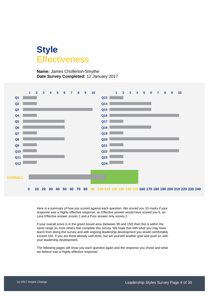## **Style Effectiveness**

**Name:** James Chollerton-Smythe **Date Survey Completed:** 12 January 2017



Here is a summary of how you scored against each question. We scored you 10 marks if your response was a Highly effective response, an Effective answer would have scored you 6, an Less Effective answer scores 2 and a Poor answer only scores 2.

If your overall score is in the green boxed area (between 90 and 150) then this is within the same range as most others that complete this survey. We hope that with what you may have learnt from doing this survey and with ongoing leadership development you would comfortably exceed 150. If you are there already well done, but set yourself another goal and push on with your leadership development.

The following pages will show you each question again and the response you chose and what we believe was a Highly effective response!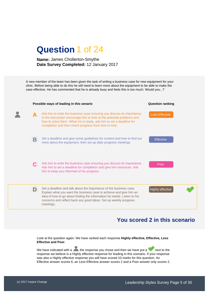## **Question** 1 of 24

#### **Name:** James Chollerton-Smythe **Date Survey Completed:** 12 January 2017

A new member of the team has been given the task of writing a business case for new equipment for your clinic. Before being able to do this he will need to learn more about the equipment to be able to make the case effective. He has commented that he is already busy and feels this is too much. Would you...?



## **You scored 2 in this scenario**

Look at the question again. We have ranked each response **Highly effective, Effective, Less Effective and Poor**.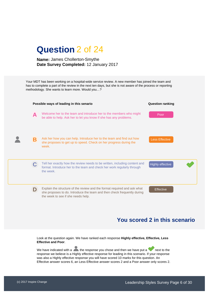

Your MDT has been working on a hospital-wide service review. A new member has joined the team and has to complete a part of the review in the next ten days, but she is not aware of the process or reporting methodology. She wants to learn more. Would you…?



## **You scored 2 in this scenario**

Look at the question again. We have ranked each response **Highly effective, Effective, Less Effective and Poor**.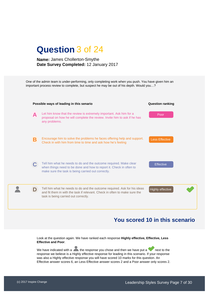

One of the admin team is under-performing, only completing work when you push. You have given him an important process review to complete, but suspect he may be out of his depth. Would you…?



## **You scored 10 in this scenario**

Look at the question again. We have ranked each response **Highly effective, Effective, Less Effective and Poor**.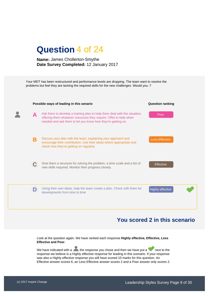

Your MDT has been restructured and performance levels are dropping. The team want to resolve the problems but feel they are lacking the required skills for the new challenges. Would you..?



## **You scored 2 in this scenario**

Look at the question again. We have ranked each response **Highly effective, Effective, Less Effective and Poor**.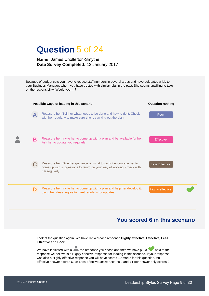## **Question** 5 of 24

#### **Name:** James Chollerton-Smythe **Date Survey Completed:** 12 January 2017

Because of budget cuts you have to reduce staff numbers in several areas and have delegated a job to your Business Manager, whom you have trusted with similar jobs in the past. She seems unwilling to take on the responsibility. Would you….?



## **You scored 6 in this scenario**

Look at the question again. We have ranked each response **Highly effective, Effective, Less Effective and Poor**.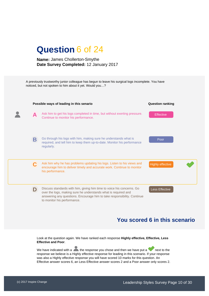A previously trustworthy junior colleague has begun to leave his surgical logs incomplete. You have noticed, but not spoken to him about it yet. Would you…?



## **You scored 6 in this scenario**

Look at the question again. We have ranked each response **Highly effective, Effective, Less Effective and Poor**.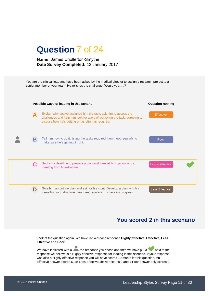

## **You scored 2 in this scenario**

Look at the question again. We have ranked each response **Highly effective, Effective, Less Effective and Poor**.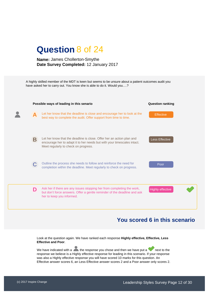

A highly skilled member of the MDT is keen but seems to be unsure about a patient outcomes audit you have asked her to carry out. You know she is able to do it. Would you….?



## **You scored 6 in this scenario**

Look at the question again. We have ranked each response **Highly effective, Effective, Less Effective and Poor**.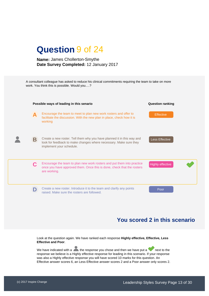| <b>Question 9 of 24</b> |
|-------------------------|
|-------------------------|

A consultant colleague has asked to reduce his clinical commitments requiring the team to take on more work. You think this is possible. Would you….?

|   | Possible ways of leading in this senario                                                                                                                                | <b>Question ranking</b> |
|---|-------------------------------------------------------------------------------------------------------------------------------------------------------------------------|-------------------------|
| А | Encourage the team to meet to plan new work rosters and offer to<br>facilitate the discussion. With the new plan in place, check how it is<br>working                   | <b>Effective</b>        |
| Β | Create a new roster. Tell them why you have planned it in this way and<br>look for feedback to make changes where necessary. Make sure they<br>implement your schedule. | Less Effective          |
|   | Encourage the team to plan new work rosters and put them into practice<br>once you have approved them. Once this is done, check that the rosters<br>are working.        | <b>Highly effective</b> |
|   | Create a new roster. Introduce it to the team and clarify any points<br>raised. Make sure the rosters are followed.                                                     | Poor                    |

## **You scored 2 in this scenario**

Look at the question again. We have ranked each response **Highly effective, Effective, Less Effective and Poor**.

We have indicated with a  $\blacktriangle$  the response you chose and then we have put a next to the response we believe is a Highly effective response for leading in this scenario. If your response was also a Highly effective response you will have scored 10 marks for this question. An Effective answer scores 6, an Less Effective answer scores 2 and a Poor answer only scores 2.

Z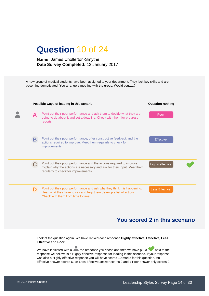

## **You scored 2 in this scenario**

Look at the question again. We have ranked each response **Highly effective, Effective, Less Effective and Poor**.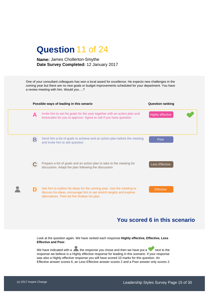## **Question** 11 of 24

#### **Name:** James Chollerton-Smythe **Date Survey Completed:** 12 January 2017

One of your consultant colleagues has won a local award for excellence. He expects new challenges in the coming year but there are no new goals or budget improvements scheduled for your department. You have a review meeting with him. Would you….?

|   | Possible ways of leading in this senario                                                                                                                                                     | <b>Question ranking</b> |
|---|----------------------------------------------------------------------------------------------------------------------------------------------------------------------------------------------|-------------------------|
| A | Invite him to set his goals for the year together with an action plan and<br>timescales for you to approve. Agree to call if you have question                                               | <b>Highly effective</b> |
| Β | Send him a list of goals to achieve and an action plan before the meeting<br>and invite him to ask question                                                                                  | Poor                    |
|   | Prepare a list of goals and an action plan to take to the meeting for<br>discussion. Adapt the plan following the discussion                                                                 | Less Effective          |
|   | Ask him to outline his ideas for the coming year. Use the meeting to<br>discuss his ideas, encourage him to set stretch targets and explore<br>alternatives. Then let him finalise his plan. | <b>Effective</b>        |

## **You scored 6 in this scenario**

Look at the question again. We have ranked each response **Highly effective, Effective, Less Effective and Poor**.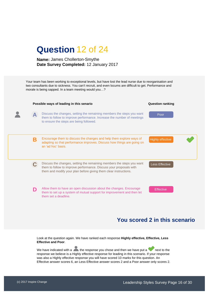



## **You scored 2 in this scenario**

Look at the question again. We have ranked each response **Highly effective, Effective, Less Effective and Poor**.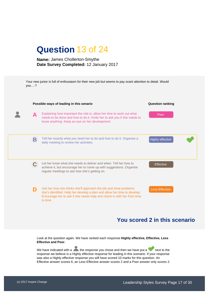|--|

Your new junior is full of enthusiasm for their new job but seems to pay scant attention to detail. Would you….?



## **You scored 2 in this scenario**

Look at the question again. We have ranked each response **Highly effective, Effective, Less Effective and Poor**.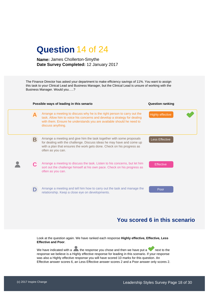## **Question** 14 of 24

#### **Name:** James Chollerton-Smythe **Date Survey Completed:** 12 January 2017

The Finance Director has asked your department to make efficiency savings of 11%. You want to assign this task to your Clinical Lead and Business Manager, but the Clinical Lead is unsure of working with the Business Manager. Would you…..?

|   | Possible ways of leading in this senario                                                                                                                                                                                                          | <b>Question ranking</b> |
|---|---------------------------------------------------------------------------------------------------------------------------------------------------------------------------------------------------------------------------------------------------|-------------------------|
| A | Arrange a meeting to discuss why he is the right person to carry out the<br>task. Allow him to voice his concerns and develop a strategy for dealing<br>with them. Ensure he understands you are available should he need to<br>discuss anything. | <b>Highly effective</b> |
| Β | Arrange a meeting and give him the task together with some proposals<br>for dealing with the challenge. Discuss ideas he may have and come up<br>with a plan that ensures the work gets done. Check on his progress as<br>often as you can.       | Less Effective          |
|   | Arrange a meeting to discuss the task. Listen to his concerns, but let him<br>sort out the challenge himself at his own pace. Check on his progress as<br>often as you can.                                                                       | <b>Effective</b>        |
|   | Arrange a meeting and tell him how to carry out the task and manage the<br>relationship. Keep a close eye on developments.                                                                                                                        | Poor                    |

## **You scored 6 in this scenario**

Look at the question again. We have ranked each response **Highly effective, Effective, Less Effective and Poor**.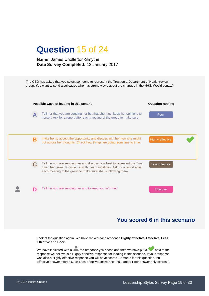

The CEO has asked that you select someone to represent the Trust on a Department of Health review group. You want to send a colleague who has strong views about the changes in the NHS. Would you….?



## **You scored 6 in this scenario**

Look at the question again. We have ranked each response **Highly effective, Effective, Less Effective and Poor**.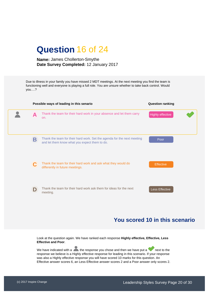## **Question** 16 of 24

#### **Name:** James Chollerton-Smythe **Date Survey Completed:** 12 January 2017

Due to illness in your family you have missed 2 MDT meetings. At the next meeting you find the team is functioning well and everyone is playing a full role. You are unsure whether to take back control. Would you….?

|   | Possible ways of leading in this senario                                                                                 | <b>Question ranking</b> |  |  |
|---|--------------------------------------------------------------------------------------------------------------------------|-------------------------|--|--|
| A | Thank the team for their hard work in your absence and let them carry<br>on.                                             | <b>Highly effective</b> |  |  |
| B | Thank the team for their hard work. Set the agenda for the next meeting<br>and let them know what you expect them to do. | Poor                    |  |  |
| C | Thank the team for their hard work and ask what they would do<br>differently in future meetings.                         | <b>Effective</b>        |  |  |
| D | Thank the team for their hard work ask them for ideas for the next<br>meeting.                                           | Less Effective          |  |  |

## **You scored 10 in this scenario**

Look at the question again. We have ranked each response **Highly effective, Effective, Less Effective and Poor**.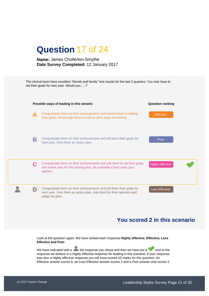

The clinical team have excellent "friends and family" test results for the last 2 quarters. You now have to set their goals for next year. Would you…..?



## **You scored 2 in this scenario**

Look at the question again. We have ranked each response **Highly effective, Effective, Less Effective and Poor**.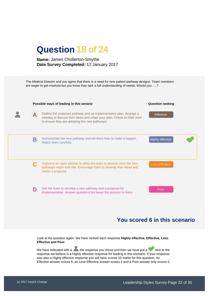

The Medical Director and you agree that there is a need for new patient pathway designs. Team members are eager to get involved but you know they lack a full understanding of needs. Would you…..?



## **You scored 6 in this scenario**

Look at the question again. We have ranked each response **Highly effective, Effective, Less Effective and Poor**.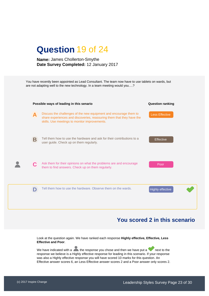

You have recently been appointed as Lead Consultant. The team now have to use tablets on wards, but are not adapting well to the new technology. In a team meeting would you….?



## **You scored 2 in this scenario**

Look at the question again. We have ranked each response **Highly effective, Effective, Less Effective and Poor**.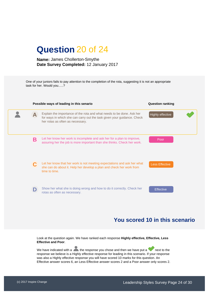## **Question** 20 of 24

#### **Name:** James Chollerton-Smythe **Date Survey Completed:** 12 January 2017

One of your juniors fails to pay attention to the completion of the rota, suggesting it is not an appropriate task for her. Would you…..?

| Possible ways of leading in this senario |                                                                                                                                                                                      | <b>Question ranking</b> |  |
|------------------------------------------|--------------------------------------------------------------------------------------------------------------------------------------------------------------------------------------|-------------------------|--|
|                                          | Explain the importance of the rota and what needs to be done. Ask her<br>for ways in which she can carry out the task given your guidance. Check<br>her rotas as often as necessary. | Highly effective        |  |
| Β                                        | Let her know her work is incomplete and ask her for a plan to improve,<br>assuring her the job is more important than she thinks. Check her work.                                    | Poor                    |  |
|                                          | Let her know that her work is not meeting expectations and ask her what<br>she can do about it. Help her develop a plan and check her work from<br>time to time.                     | <b>Less Effective</b>   |  |
|                                          | Show her what she is doing wrong and how to do it correctly. Check her<br>rotas as often as necessary.                                                                               | <b>Effective</b>        |  |

## **You scored 10 in this scenario**

Look at the question again. We have ranked each response **Highly effective, Effective, Less Effective and Poor**.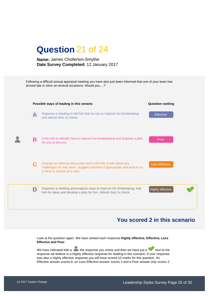

Following a difficult annual appraisal meeting you have also just been informed that one of your team has arrived late in clinic on several occasions. Would you….?



## **You scored 2 in this scenario**

Look at the question again. We have ranked each response **Highly effective, Effective, Less Effective and Poor**.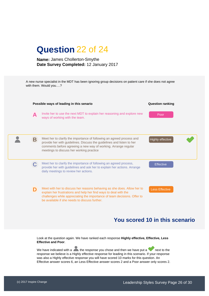|  | <b>Question 22 of 24</b> |  |  |
|--|--------------------------|--|--|
|--|--------------------------|--|--|

A new nurse specialist in the MDT has been ignoring group decisions on patient care if she does not agree with them. Would you….?

| Possible ways of leading in this senario |                                                                                                                                                                                                                                                                          | <b>Question ranking</b> |  |
|------------------------------------------|--------------------------------------------------------------------------------------------------------------------------------------------------------------------------------------------------------------------------------------------------------------------------|-------------------------|--|
| A                                        | Invite her to use the next MDT to explain her reasoning and explore new<br>ways of working with the team.                                                                                                                                                                | Poor                    |  |
| Β                                        | Meet her to clarify the importance of following an agreed process and<br>provide her with guidelines. Discuss the guidelines and listen to her<br>comments before agreeing a new way of working. Arrange regular<br>meetings to discuss her working practice             | <b>Highly effective</b> |  |
|                                          | Meet her to clarify the importance of following an agreed process,<br>provide her with guidelines and ask her to explain her actions. Arrange<br>daily meetings to review her actions.                                                                                   | <b>Effective</b>        |  |
|                                          | Meet with her to discuss her reasons behaving as she does. Allow her to<br>explain her frustrations and help her find ways to deal with the<br>challenges while appreciating the importance of team decisions. Offer to<br>be available if she needs to discuss further. | <b>Less Effective</b>   |  |

## **You scored 10 in this scenario**

Look at the question again. We have ranked each response **Highly effective, Effective, Less Effective and Poor**.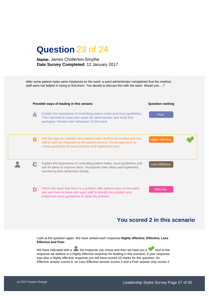| <b>Question 23 of 24</b> |  |  |
|--------------------------|--|--|
|                          |  |  |

After some patient notes were misplaced on the ward, a ward administrator complained that the medical staff were not helpful in trying to find them. You decide to discuss this with the team. Would you….?



## **You scored 2 in this scenario**

Look at the question again. We have ranked each response **Highly effective, Effective, Less Effective and Poor**.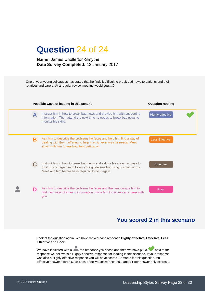| <b>Question 24 of 24</b> |  |  |
|--------------------------|--|--|
|                          |  |  |

One of your young colleagues has stated that he finds it difficult to break bad news to patients and their relatives and carers. At a regular review meeting would you….?



## **You scored 2 in this scenario**

Look at the question again. We have ranked each response **Highly effective, Effective, Less Effective and Poor**.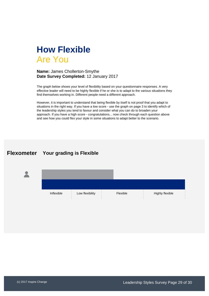

The graph below shows your level of flexibility based on your questionnaire responses. A very effective leader will need to be highly flexible if he or she is to adapt to the various situations they find themselves working in. Different people need a different approach.

However, it is important to understand that being flexible by itself is not proof that you adapt to situations in the right way. If you have a low score - use the graph on page 3 to identify which of the leadership styles you tend to favour and consider what you can do to broaden your approach. If you have a high score - congratulations... now check through each question above and see how you could flex your style in some situations to adapt better to the scenario.

## **Flexometer Your grading is Flexible**

| Inflexible | Low flexibility | Flexible | Highly flexible |
|------------|-----------------|----------|-----------------|